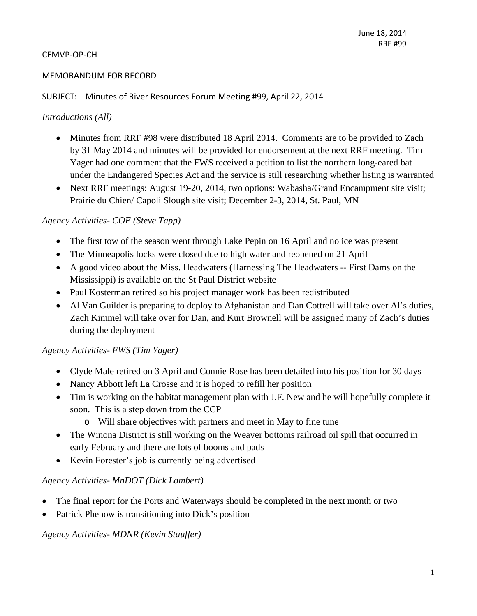### MEMORANDUM FOR RECORD

### SUBJECT: Minutes of River Resources Forum Meeting #99, April 22, 2014

### *Introductions (All)*

- Minutes from RRF #98 were distributed 18 April 2014. Comments are to be provided to Zach by 31 May 2014 and minutes will be provided for endorsement at the next RRF meeting. Tim Yager had one comment that the FWS received a petition to list the northern long-eared bat under the Endangered Species Act and the service is still researching whether listing is warranted
- Next RRF meetings: August 19-20, 2014, two options: Wabasha/Grand Encampment site visit; Prairie du Chien/ Capoli Slough site visit; December 2-3, 2014, St. Paul, MN

### *Agency Activities- COE (Steve Tapp)*

- The first tow of the season went through Lake Pepin on 16 April and no ice was present
- The Minneapolis locks were closed due to high water and reopened on 21 April
- A good video about the Miss. Headwaters (Harnessing The Headwaters -- First Dams on the Mississippi) is available on the St Paul District website
- Paul Kosterman retired so his project manager work has been redistributed
- Al Van Guilder is preparing to deploy to Afghanistan and Dan Cottrell will take over Al's duties, Zach Kimmel will take over for Dan, and Kurt Brownell will be assigned many of Zach's duties during the deployment

#### *Agency Activities- FWS (Tim Yager)*

- Clyde Male retired on 3 April and Connie Rose has been detailed into his position for 30 days
- Nancy Abbott left La Crosse and it is hoped to refill her position
- Tim is working on the habitat management plan with J.F. New and he will hopefully complete it soon. This is a step down from the CCP
	- o Will share objectives with partners and meet in May to fine tune
- The Winona District is still working on the Weaver bottoms railroad oil spill that occurred in early February and there are lots of booms and pads
- Kevin Forester's job is currently being advertised

#### *Agency Activities- MnDOT (Dick Lambert)*

- The final report for the Ports and Waterways should be completed in the next month or two
- Patrick Phenow is transitioning into Dick's position

#### *Agency Activities- MDNR (Kevin Stauffer)*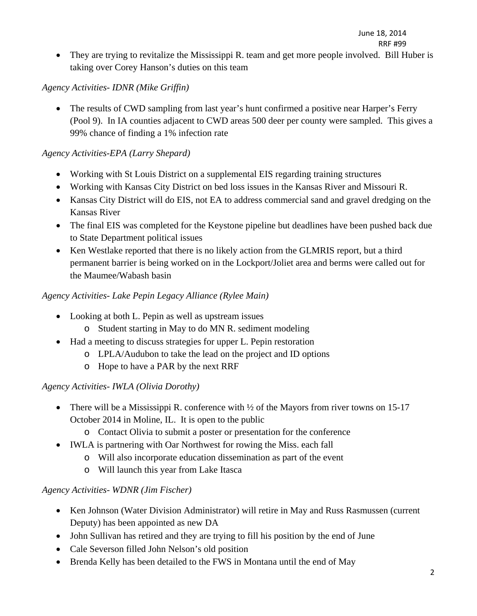• They are trying to revitalize the Mississippi R. team and get more people involved. Bill Huber is taking over Corey Hanson's duties on this team

# *Agency Activities- IDNR (Mike Griffin)*

• The results of CWD sampling from last year's hunt confirmed a positive near Harper's Ferry (Pool 9). In IA counties adjacent to CWD areas 500 deer per county were sampled. This gives a 99% chance of finding a 1% infection rate

# *Agency Activities-EPA (Larry Shepard)*

- Working with St Louis District on a supplemental EIS regarding training structures
- Working with Kansas City District on bed loss issues in the Kansas River and Missouri R.
- Kansas City District will do EIS, not EA to address commercial sand and gravel dredging on the Kansas River
- The final EIS was completed for the Keystone pipeline but deadlines have been pushed back due to State Department political issues
- Ken Westlake reported that there is no likely action from the GLMRIS report, but a third permanent barrier is being worked on in the Lockport/Joliet area and berms were called out for the Maumee/Wabash basin

### *Agency Activities- Lake Pepin Legacy Alliance (Rylee Main)*

- Looking at both L. Pepin as well as upstream issues
	- o Student starting in May to do MN R. sediment modeling
- Had a meeting to discuss strategies for upper L. Pepin restoration
	- o LPLA/Audubon to take the lead on the project and ID options
	- o Hope to have a PAR by the next RRF

# *Agency Activities- IWLA (Olivia Dorothy)*

- There will be a Mississippi R. conference with  $\frac{1}{2}$  of the Mayors from river towns on 15-17 October 2014 in Moline, IL. It is open to the public
	- o Contact Olivia to submit a poster or presentation for the conference
- IWLA is partnering with Oar Northwest for rowing the Miss. each fall
	- o Will also incorporate education dissemination as part of the event
	- o Will launch this year from Lake Itasca

### *Agency Activities- WDNR (Jim Fischer)*

- Ken Johnson (Water Division Administrator) will retire in May and Russ Rasmussen (current Deputy) has been appointed as new DA
- John Sullivan has retired and they are trying to fill his position by the end of June
- Cale Severson filled John Nelson's old position
- Brenda Kelly has been detailed to the FWS in Montana until the end of May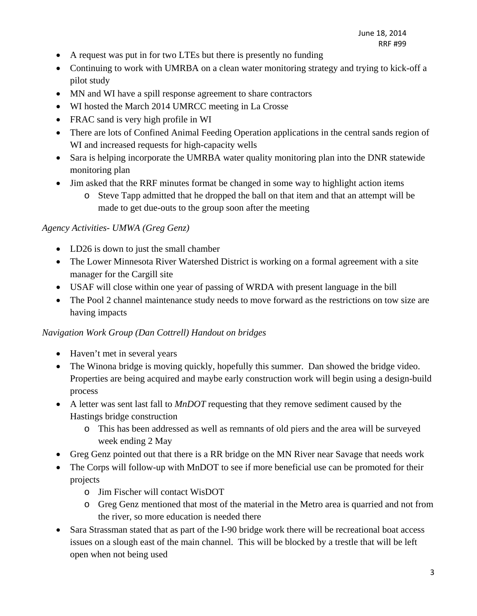- A request was put in for two LTEs but there is presently no funding
- Continuing to work with UMRBA on a clean water monitoring strategy and trying to kick-off a pilot study
- MN and WI have a spill response agreement to share contractors
- WI hosted the March 2014 UMRCC meeting in La Crosse
- FRAC sand is very high profile in WI
- There are lots of Confined Animal Feeding Operation applications in the central sands region of WI and increased requests for high-capacity wells
- Sara is helping incorporate the UMRBA water quality monitoring plan into the DNR statewide monitoring plan
- Jim asked that the RRF minutes format be changed in some way to highlight action items
	- o Steve Tapp admitted that he dropped the ball on that item and that an attempt will be made to get due-outs to the group soon after the meeting

### *Agency Activities- UMWA (Greg Genz)*

- LD26 is down to just the small chamber
- The Lower Minnesota River Watershed District is working on a formal agreement with a site manager for the Cargill site
- USAF will close within one year of passing of WRDA with present language in the bill
- The Pool 2 channel maintenance study needs to move forward as the restrictions on tow size are having impacts

### *Navigation Work Group (Dan Cottrell) Handout on bridges*

- Haven't met in several years
- The Winona bridge is moving quickly, hopefully this summer. Dan showed the bridge video. Properties are being acquired and maybe early construction work will begin using a design-build process
- A letter was sent last fall to *MnDOT* requesting that they remove sediment caused by the Hastings bridge construction
	- o This has been addressed as well as remnants of old piers and the area will be surveyed week ending 2 May
- Greg Genz pointed out that there is a RR bridge on the MN River near Savage that needs work
- The Corps will follow-up with MnDOT to see if more beneficial use can be promoted for their projects
	- o Jim Fischer will contact WisDOT
	- o Greg Genz mentioned that most of the material in the Metro area is quarried and not from the river, so more education is needed there
- Sara Strassman stated that as part of the I-90 bridge work there will be recreational boat access issues on a slough east of the main channel. This will be blocked by a trestle that will be left open when not being used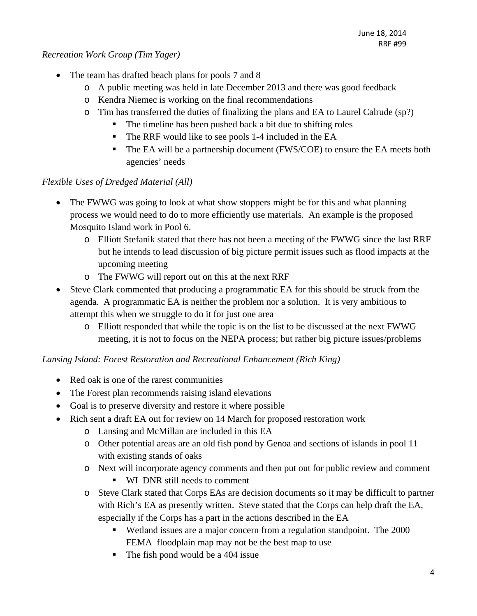### *Recreation Work Group (Tim Yager)*

- The team has drafted beach plans for pools 7 and 8
	- o A public meeting was held in late December 2013 and there was good feedback
	- o Kendra Niemec is working on the final recommendations
	- o Tim has transferred the duties of finalizing the plans and EA to Laurel Calrude (sp?)
		- The timeline has been pushed back a bit due to shifting roles
		- The RRF would like to see pools 1-4 included in the EA
		- The EA will be a partnership document (FWS/COE) to ensure the EA meets both agencies' needs

# *Flexible Uses of Dredged Material (All)*

- The FWWG was going to look at what show stoppers might be for this and what planning process we would need to do to more efficiently use materials. An example is the proposed Mosquito Island work in Pool 6.
	- o Elliott Stefanik stated that there has not been a meeting of the FWWG since the last RRF but he intends to lead discussion of big picture permit issues such as flood impacts at the upcoming meeting
	- o The FWWG will report out on this at the next RRF
- Steve Clark commented that producing a programmatic EA for this should be struck from the agenda. A programmatic EA is neither the problem nor a solution. It is very ambitious to attempt this when we struggle to do it for just one area
	- o Elliott responded that while the topic is on the list to be discussed at the next FWWG meeting, it is not to focus on the NEPA process; but rather big picture issues/problems

# *Lansing Island: Forest Restoration and Recreational Enhancement (Rich King)*

- Red oak is one of the rarest communities
- The Forest plan recommends raising island elevations
- Goal is to preserve diversity and restore it where possible
- Rich sent a draft EA out for review on 14 March for proposed restoration work
	- o Lansing and McMillan are included in this EA
	- o Other potential areas are an old fish pond by Genoa and sections of islands in pool 11 with existing stands of oaks
	- o Next will incorporate agency comments and then put out for public review and comment
		- WI DNR still needs to comment
	- o Steve Clark stated that Corps EAs are decision documents so it may be difficult to partner with Rich's EA as presently written. Steve stated that the Corps can help draft the EA, especially if the Corps has a part in the actions described in the EA
		- Wetland issues are a major concern from a regulation standpoint. The 2000 FEMA floodplain map may not be the best map to use
		- $\blacksquare$  The fish pond would be a 404 issue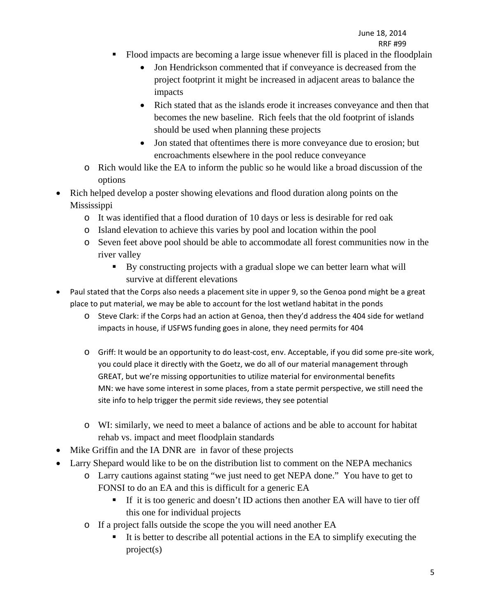- Flood impacts are becoming a large issue whenever fill is placed in the floodplain
	- Jon Hendrickson commented that if conveyance is decreased from the project footprint it might be increased in adjacent areas to balance the impacts
	- Rich stated that as the islands erode it increases conveyance and then that becomes the new baseline. Rich feels that the old footprint of islands should be used when planning these projects
	- Jon stated that oftentimes there is more conveyance due to erosion; but encroachments elsewhere in the pool reduce conveyance
- o Rich would like the EA to inform the public so he would like a broad discussion of the options
- Rich helped develop a poster showing elevations and flood duration along points on the Mississippi
	- o It was identified that a flood duration of 10 days or less is desirable for red oak
	- o Island elevation to achieve this varies by pool and location within the pool
	- o Seven feet above pool should be able to accommodate all forest communities now in the river valley
		- By constructing projects with a gradual slope we can better learn what will survive at different elevations
- Paul stated that the Corps also needs a placement site in upper 9, so the Genoa pond might be a great place to put material, we may be able to account for the lost wetland habitat in the ponds
	- o Steve Clark: if the Corps had an action at Genoa, then they'd address the 404 side for wetland impacts in house, if USFWS funding goes in alone, they need permits for 404
	- o Griff: It would be an opportunity to do least‐cost, env. Acceptable, if you did some pre‐site work, you could place it directly with the Goetz, we do all of our material management through GREAT, but we're missing opportunities to utilize material for environmental benefits MN: we have some interest in some places, from a state permit perspective, we still need the site info to help trigger the permit side reviews, they see potential
	- o WI: similarly, we need to meet a balance of actions and be able to account for habitat rehab vs. impact and meet floodplain standards
- Mike Griffin and the IA DNR are in favor of these projects
- Larry Shepard would like to be on the distribution list to comment on the NEPA mechanics
	- o Larry cautions against stating "we just need to get NEPA done." You have to get to FONSI to do an EA and this is difficult for a generic EA
		- If it is too generic and doesn't ID actions then another EA will have to tier off this one for individual projects
	- o If a project falls outside the scope the you will need another EA
		- It is better to describe all potential actions in the EA to simplify executing the project(s)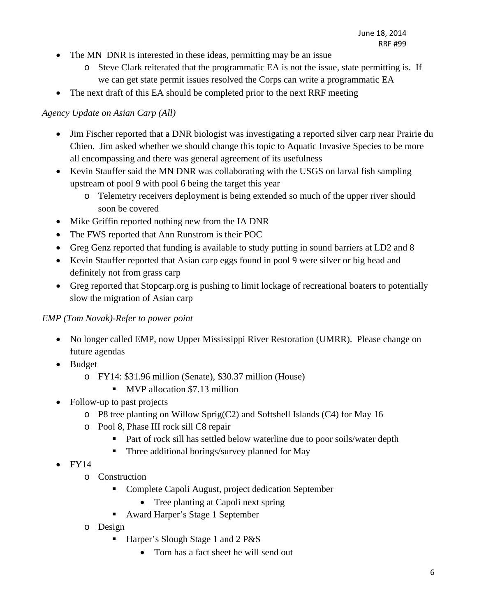- The MN DNR is interested in these ideas, permitting may be an issue
	- o Steve Clark reiterated that the programmatic EA is not the issue, state permitting is. If we can get state permit issues resolved the Corps can write a programmatic EA
- The next draft of this EA should be completed prior to the next RRF meeting

## *Agency Update on Asian Carp (All)*

- Jim Fischer reported that a DNR biologist was investigating a reported silver carp near Prairie du Chien. Jim asked whether we should change this topic to Aquatic Invasive Species to be more all encompassing and there was general agreement of its usefulness
- Kevin Stauffer said the MN DNR was collaborating with the USGS on larval fish sampling upstream of pool 9 with pool 6 being the target this year
	- o Telemetry receivers deployment is being extended so much of the upper river should soon be covered
- Mike Griffin reported nothing new from the IA DNR
- The FWS reported that Ann Runstrom is their POC
- Greg Genz reported that funding is available to study putting in sound barriers at LD2 and 8
- Kevin Stauffer reported that Asian carp eggs found in pool 9 were silver or big head and definitely not from grass carp
- Greg reported that Stopcarp.org is pushing to limit lockage of recreational boaters to potentially slow the migration of Asian carp

### *EMP (Tom Novak)-Refer to power point*

- No longer called EMP, now Upper Mississippi River Restoration (UMRR). Please change on future agendas
- Budget
	- o FY14: \$31.96 million (Senate), \$30.37 million (House)
		- **MVP** allocation \$7.13 million
- Follow-up to past projects
	- o P8 tree planting on Willow Sprig(C2) and Softshell Islands (C4) for May 16
	- o Pool 8, Phase III rock sill C8 repair
		- Part of rock sill has settled below waterline due to poor soils/water depth
		- Three additional borings/survey planned for May
- $\bullet$  FY14
	- o Construction
		- Complete Capoli August, project dedication September
			- Tree planting at Capoli next spring
		- Award Harper's Stage 1 September
	- o Design
		- Harper's Slough Stage 1 and 2 P&S
			- Tom has a fact sheet he will send out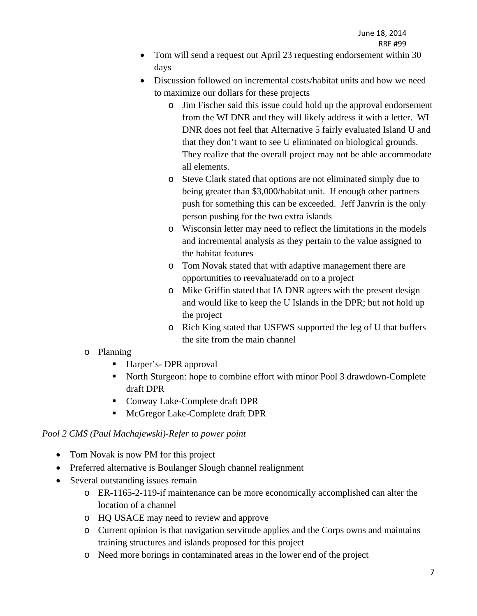- Tom will send a request out April 23 requesting endorsement within 30 days
- Discussion followed on incremental costs/habitat units and how we need to maximize our dollars for these projects
	- o Jim Fischer said this issue could hold up the approval endorsement from the WI DNR and they will likely address it with a letter. WI DNR does not feel that Alternative 5 fairly evaluated Island U and that they don't want to see U eliminated on biological grounds. They realize that the overall project may not be able accommodate all elements.
	- o Steve Clark stated that options are not eliminated simply due to being greater than \$3,000/habitat unit. If enough other partners push for something this can be exceeded. Jeff Janvrin is the only person pushing for the two extra islands
	- o Wisconsin letter may need to reflect the limitations in the models and incremental analysis as they pertain to the value assigned to the habitat features
	- o Tom Novak stated that with adaptive management there are opportunities to reevaluate/add on to a project
	- o Mike Griffin stated that IA DNR agrees with the present design and would like to keep the U Islands in the DPR; but not hold up the project
	- o Rich King stated that USFWS supported the leg of U that buffers the site from the main channel

### o Planning

- Harper's- DPR approval
- North Sturgeon: hope to combine effort with minor Pool 3 drawdown-Complete draft DPR
- Conway Lake-Complete draft DPR
- **McGregor Lake-Complete draft DPR**

# *Pool 2 CMS (Paul Machajewski)-Refer to power point*

- Tom Novak is now PM for this project
- Preferred alternative is Boulanger Slough channel realignment
- Several outstanding issues remain
	- o ER-1165-2-119-if maintenance can be more economically accomplished can alter the location of a channel
	- o HQ USACE may need to review and approve
	- o Current opinion is that navigation servitude applies and the Corps owns and maintains training structures and islands proposed for this project
	- o Need more borings in contaminated areas in the lower end of the project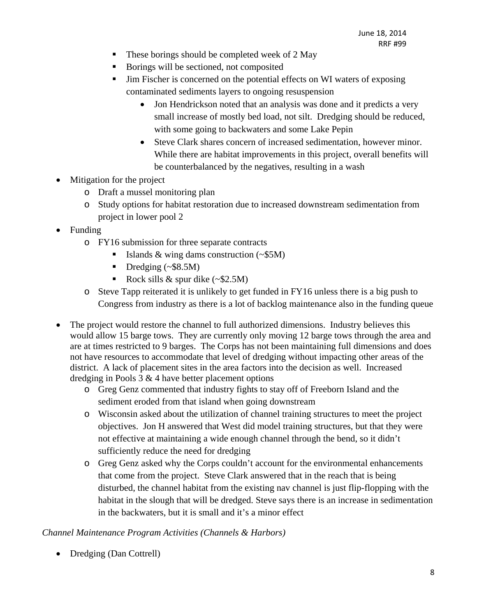- $\blacksquare$  These borings should be completed week of 2 May
- Borings will be sectioned, not composited
- Jim Fischer is concerned on the potential effects on WI waters of exposing contaminated sediments layers to ongoing resuspension
	- Jon Hendrickson noted that an analysis was done and it predicts a very small increase of mostly bed load, not silt. Dredging should be reduced, with some going to backwaters and some Lake Pepin
	- Steve Clark shares concern of increased sedimentation, however minor. While there are habitat improvements in this project, overall benefits will be counterbalanced by the negatives, resulting in a wash
- Mitigation for the project
	- o Draft a mussel monitoring plan
	- o Study options for habitat restoration due to increased downstream sedimentation from project in lower pool 2
- Funding
	- o FY16 submission for three separate contracts
		- Islands & wing dams construction  $(\sim $5M)$
		- Dredging  $(\sim $8.5M)$
		- Rock sills & spur dike  $(\sim $2.5M)$
	- o Steve Tapp reiterated it is unlikely to get funded in FY16 unless there is a big push to Congress from industry as there is a lot of backlog maintenance also in the funding queue
- The project would restore the channel to full authorized dimensions. Industry believes this would allow 15 barge tows. They are currently only moving 12 barge tows through the area and are at times restricted to 9 barges. The Corps has not been maintaining full dimensions and does not have resources to accommodate that level of dredging without impacting other areas of the district. A lack of placement sites in the area factors into the decision as well. Increased dredging in Pools  $3 \& 4$  have better placement options
	- o Greg Genz commented that industry fights to stay off of Freeborn Island and the sediment eroded from that island when going downstream
	- o Wisconsin asked about the utilization of channel training structures to meet the project objectives. Jon H answered that West did model training structures, but that they were not effective at maintaining a wide enough channel through the bend, so it didn't sufficiently reduce the need for dredging
	- o Greg Genz asked why the Corps couldn't account for the environmental enhancements that come from the project. Steve Clark answered that in the reach that is being disturbed, the channel habitat from the existing nav channel is just flip-flopping with the habitat in the slough that will be dredged. Steve says there is an increase in sedimentation in the backwaters, but it is small and it's a minor effect

#### *Channel Maintenance Program Activities (Channels & Harbors)*

• Dredging (Dan Cottrell)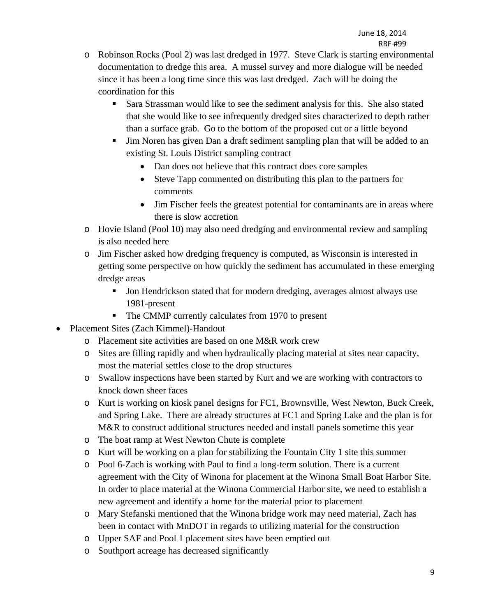- o Robinson Rocks (Pool 2) was last dredged in 1977. Steve Clark is starting environmental documentation to dredge this area. A mussel survey and more dialogue will be needed since it has been a long time since this was last dredged. Zach will be doing the coordination for this
	- Sara Strassman would like to see the sediment analysis for this. She also stated that she would like to see infrequently dredged sites characterized to depth rather than a surface grab. Go to the bottom of the proposed cut or a little beyond
	- Jim Noren has given Dan a draft sediment sampling plan that will be added to an existing St. Louis District sampling contract
		- Dan does not believe that this contract does core samples
		- Steve Tapp commented on distributing this plan to the partners for comments
		- Jim Fischer feels the greatest potential for contaminants are in areas where there is slow accretion
- o Hovie Island (Pool 10) may also need dredging and environmental review and sampling is also needed here
- o Jim Fischer asked how dredging frequency is computed, as Wisconsin is interested in getting some perspective on how quickly the sediment has accumulated in these emerging dredge areas
	- Jon Hendrickson stated that for modern dredging, averages almost always use 1981-present
	- The CMMP currently calculates from 1970 to present
- Placement Sites (Zach Kimmel)-Handout
	- o Placement site activities are based on one M&R work crew
	- o Sites are filling rapidly and when hydraulically placing material at sites near capacity, most the material settles close to the drop structures
	- o Swallow inspections have been started by Kurt and we are working with contractors to knock down sheer faces
	- o Kurt is working on kiosk panel designs for FC1, Brownsville, West Newton, Buck Creek, and Spring Lake. There are already structures at FC1 and Spring Lake and the plan is for M&R to construct additional structures needed and install panels sometime this year
	- o The boat ramp at West Newton Chute is complete
	- o Kurt will be working on a plan for stabilizing the Fountain City 1 site this summer
	- o Pool 6-Zach is working with Paul to find a long-term solution. There is a current agreement with the City of Winona for placement at the Winona Small Boat Harbor Site. In order to place material at the Winona Commercial Harbor site, we need to establish a new agreement and identify a home for the material prior to placement
	- o Mary Stefanski mentioned that the Winona bridge work may need material, Zach has been in contact with MnDOT in regards to utilizing material for the construction
	- o Upper SAF and Pool 1 placement sites have been emptied out
	- o Southport acreage has decreased significantly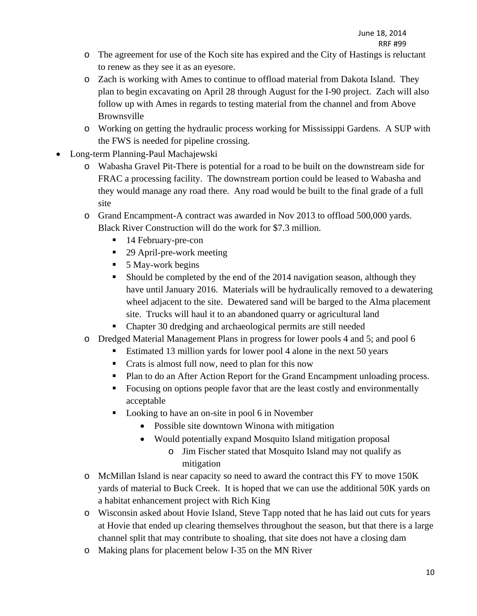- o The agreement for use of the Koch site has expired and the City of Hastings is reluctant to renew as they see it as an eyesore.
- o Zach is working with Ames to continue to offload material from Dakota Island. They plan to begin excavating on April 28 through August for the I-90 project. Zach will also follow up with Ames in regards to testing material from the channel and from Above Brownsville
- o Working on getting the hydraulic process working for Mississippi Gardens. A SUP with the FWS is needed for pipeline crossing.
- Long-term Planning-Paul Machajewski
	- o Wabasha Gravel Pit-There is potential for a road to be built on the downstream side for FRAC a processing facility. The downstream portion could be leased to Wabasha and they would manage any road there. Any road would be built to the final grade of a full site
	- o Grand Encampment-A contract was awarded in Nov 2013 to offload 500,000 yards. Black River Construction will do the work for \$7.3 million.
		- 14 February-pre-con
		- 29 April-pre-work meeting
		- $\blacksquare$  5 May-work begins
		- Should be completed by the end of the 2014 navigation season, although they have until January 2016. Materials will be hydraulically removed to a dewatering wheel adjacent to the site. Dewatered sand will be barged to the Alma placement site. Trucks will haul it to an abandoned quarry or agricultural land
		- Chapter 30 dredging and archaeological permits are still needed
	- o Dredged Material Management Plans in progress for lower pools 4 and 5; and pool 6
		- Estimated 13 million yards for lower pool 4 alone in the next 50 years
		- Crats is almost full now, need to plan for this now
		- **Plan to do an After Action Report for the Grand Encampment unloading process.**
		- Focusing on options people favor that are the least costly and environmentally acceptable
		- Looking to have an on-site in pool 6 in November
			- Possible site downtown Winona with mitigation
			- Would potentially expand Mosquito Island mitigation proposal
				- o Jim Fischer stated that Mosquito Island may not qualify as mitigation
	- o McMillan Island is near capacity so need to award the contract this FY to move 150K yards of material to Buck Creek. It is hoped that we can use the additional 50K yards on a habitat enhancement project with Rich King
	- o Wisconsin asked about Hovie Island, Steve Tapp noted that he has laid out cuts for years at Hovie that ended up clearing themselves throughout the season, but that there is a large channel split that may contribute to shoaling, that site does not have a closing dam
	- o Making plans for placement below I-35 on the MN River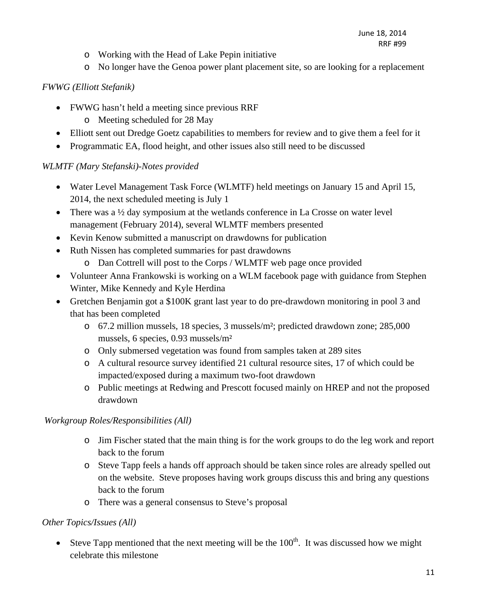- o Working with the Head of Lake Pepin initiative
- o No longer have the Genoa power plant placement site, so are looking for a replacement

# *FWWG (Elliott Stefanik)*

- FWWG hasn't held a meeting since previous RRF
	- o Meeting scheduled for 28 May
- Elliott sent out Dredge Goetz capabilities to members for review and to give them a feel for it
- Programmatic EA, flood height, and other issues also still need to be discussed

# *WLMTF (Mary Stefanski)-Notes provided*

- Water Level Management Task Force (WLMTF) held meetings on January 15 and April 15, 2014, the next scheduled meeting is July 1
- There was a  $\frac{1}{2}$  day symposium at the wetlands conference in La Crosse on water level management (February 2014), several WLMTF members presented
- Kevin Kenow submitted a manuscript on drawdowns for publication
- Ruth Nissen has completed summaries for past drawdowns
	- o Dan Cottrell will post to the Corps / WLMTF web page once provided
- Volunteer Anna Frankowski is working on a WLM facebook page with guidance from Stephen Winter, Mike Kennedy and Kyle Herdina
- Gretchen Benjamin got a \$100K grant last year to do pre-drawdown monitoring in pool 3 and that has been completed
	- o 67.2 million mussels, 18 species, 3 mussels/m²; predicted drawdown zone; 285,000 mussels, 6 species, 0.93 mussels/m²
	- o Only submersed vegetation was found from samples taken at 289 sites
	- o A cultural resource survey identified 21 cultural resource sites, 17 of which could be impacted/exposed during a maximum two-foot drawdown
	- o Public meetings at Redwing and Prescott focused mainly on HREP and not the proposed drawdown

# *Workgroup Roles/Responsibilities (All)*

- o Jim Fischer stated that the main thing is for the work groups to do the leg work and report back to the forum
- o Steve Tapp feels a hands off approach should be taken since roles are already spelled out on the website. Steve proposes having work groups discuss this and bring any questions back to the forum
- o There was a general consensus to Steve's proposal

# *Other Topics/Issues (All)*

Steve Tapp mentioned that the next meeting will be the  $100<sup>th</sup>$ . It was discussed how we might celebrate this milestone